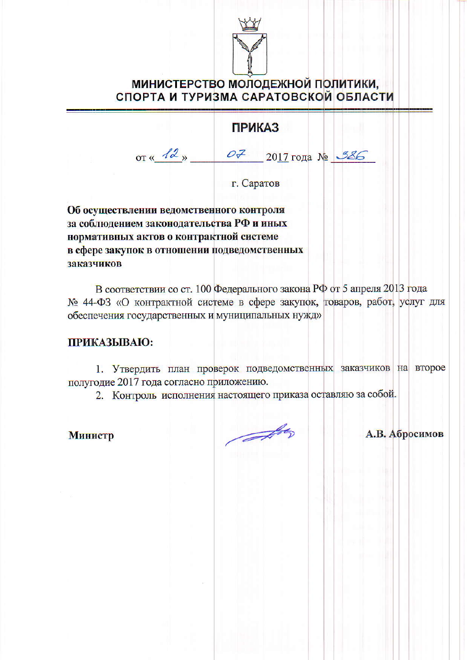

## МИНИСТЕРСТВО МОЛОДЕЖНОЙ ПОЛИТИКИ, СПОРТА И ТУРИЗМА САРАТОВСКОЙ ОБЛАСТИ

## **ПРИКАЗ**

от « $12$ »  $07$  2017 года № 386

г. Саратов

Об осуществлении ведомственного контроля за соблюдением законодательства РФ и иных нормативных актов о контрактной системе в сфере закупок в отношении подведомственных заказчиков

В соответствии со ст. 100 Федерального закона РФ от 5 апреля 2013 года № 44-ФЗ «О контрактной системе в сфере закупок, товаров, работ, услуг для обеспечения государственных и муниципальных нужд»

#### ПРИКАЗЫВАЮ:

1. Утвердить план проверок подведомственных заказчиков на второе полугодие 2017 года согласно приложению.

2. Контроль исполнения настоящего приказа оставляю за собой.

Министр

A

А.В. Абросимов